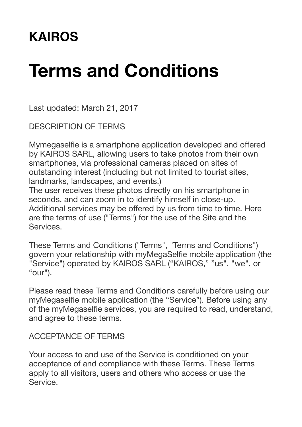# **KAIROS**

# **Terms and Conditions**

Last updated: March 21, 2017

DESCRIPTION OF TERMS

Mymegaselfie is a smartphone application developed and offered by KAIROS SARL, allowing users to take photos from their own smartphones, via professional cameras placed on sites of outstanding interest (including but not limited to tourist sites, landmarks, landscapes, and events.)

The user receives these photos directly on his smartphone in seconds, and can zoom in to identify himself in close-up. Additional services may be offered by us from time to time. Here are the terms of use ("Terms") for the use of the Site and the Services.

These Terms and Conditions ("Terms", "Terms and Conditions") govern your relationship with myMegaSelfie mobile application (the "Service") operated by KAIROS SARL ("KAIROS," "us", "we", or "our").

Please read these Terms and Conditions carefully before using our myMegaselfie mobile application (the "Service"). Before using any of the myMegaselfie services, you are required to read, understand, and agree to these terms.

### ACCEPTANCE OF TERMS

Your access to and use of the Service is conditioned on your acceptance of and compliance with these Terms. These Terms apply to all visitors, users and others who access or use the Service.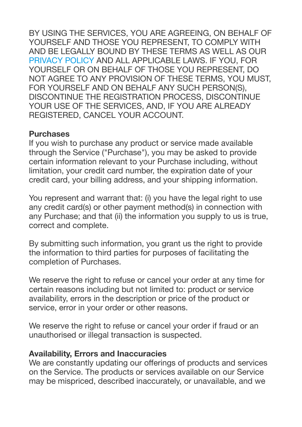BY USING THE SERVICES, YOU ARE AGREEING, ON BEHALF OF YOURSELF AND THOSE YOU REPRESENT, TO COMPLY WITH AND BE LEGALLY BOUND BY THESE TERMS AS WELL AS OUR PRIVACY POLICY AND ALL APPLICABLE LAWS. IF YOU, FOR YOURSELF OR ON BEHALF OF THOSE YOU REPRESENT, DO NOT AGREE TO ANY PROVISION OF THESE TERMS, YOU MUST, FOR YOURSELF AND ON BEHALF ANY SUCH PERSON(S), DISCONTINUE THE REGISTRATION PROCESS, DISCONTINUE YOUR USE OF THE SERVICES, AND, IF YOU ARE ALREADY REGISTERED, CANCEL YOUR ACCOUNT.

### **Purchases**

If you wish to purchase any product or service made available through the Service ("Purchase"), you may be asked to provide certain information relevant to your Purchase including, without limitation, your credit card number, the expiration date of your credit card, your billing address, and your shipping information.

You represent and warrant that: (i) you have the legal right to use any credit card(s) or other payment method(s) in connection with any Purchase; and that (ii) the information you supply to us is true, correct and complete.

By submitting such information, you grant us the right to provide the information to third parties for purposes of facilitating the completion of Purchases.

We reserve the right to refuse or cancel your order at any time for certain reasons including but not limited to: product or service availability, errors in the description or price of the product or service, error in your order or other reasons.

We reserve the right to refuse or cancel your order if fraud or an unauthorised or illegal transaction is suspected.

### **Availability, Errors and Inaccuracies**

We are constantly updating our offerings of products and services on the Service. The products or services available on our Service may be mispriced, described inaccurately, or unavailable, and we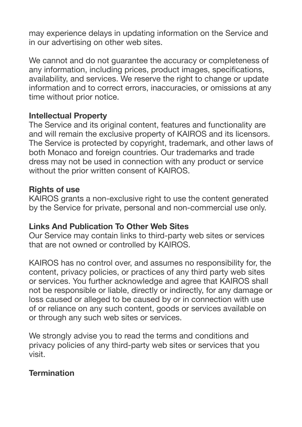may experience delays in updating information on the Service and in our advertising on other web sites.

We cannot and do not guarantee the accuracy or completeness of any information, including prices, product images, specifications, availability, and services. We reserve the right to change or update information and to correct errors, inaccuracies, or omissions at any time without prior notice.

### **Intellectual Property**

The Service and its original content, features and functionality are and will remain the exclusive property of KAIROS and its licensors. The Service is protected by copyright, trademark, and other laws of both Monaco and foreign countries. Our trademarks and trade dress may not be used in connection with any product or service without the prior written consent of KAIROS.

### **Rights of use**

KAIROS grants a non-exclusive right to use the content generated by the Service for private, personal and non-commercial use only.

### **Links And Publication To Other Web Sites**

Our Service may contain links to third-party web sites or services that are not owned or controlled by KAIROS.

KAIROS has no control over, and assumes no responsibility for, the content, privacy policies, or practices of any third party web sites or services. You further acknowledge and agree that KAIROS shall not be responsible or liable, directly or indirectly, for any damage or loss caused or alleged to be caused by or in connection with use of or reliance on any such content, goods or services available on or through any such web sites or services.

We strongly advise you to read the terms and conditions and privacy policies of any third-party web sites or services that you visit.

# **Termination**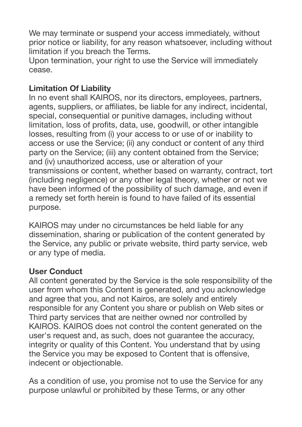We may terminate or suspend your access immediately, without prior notice or liability, for any reason whatsoever, including without limitation if you breach the Terms.

Upon termination, your right to use the Service will immediately cease.

# **Limitation Of Liability**

In no event shall KAIROS, nor its directors, employees, partners, agents, suppliers, or affiliates, be liable for any indirect, incidental, special, consequential or punitive damages, including without limitation, loss of profits, data, use, goodwill, or other intangible losses, resulting from (i) your access to or use of or inability to access or use the Service; (ii) any conduct or content of any third party on the Service; (iii) any content obtained from the Service; and (iv) unauthorized access, use or alteration of your transmissions or content, whether based on warranty, contract, tort (including negligence) or any other legal theory, whether or not we have been informed of the possibility of such damage, and even if a remedy set forth herein is found to have failed of its essential purpose.

KAIROS may under no circumstances be held liable for any dissemination, sharing or publication of the content generated by the Service, any public or private website, third party service, web or any type of media.

# **User Conduct**

All content generated by the Service is the sole responsibility of the user from whom this Content is generated, and you acknowledge and agree that you, and not Kairos, are solely and entirely responsible for any Content you share or publish on Web sites or Third party services that are neither owned nor controlled by KAIROS. KAIROS does not control the content generated on the user's request and, as such, does not guarantee the accuracy, integrity or quality of this Content. You understand that by using the Service you may be exposed to Content that is offensive, indecent or objectionable.

As a condition of use, you promise not to use the Service for any purpose unlawful or prohibited by these Terms, or any other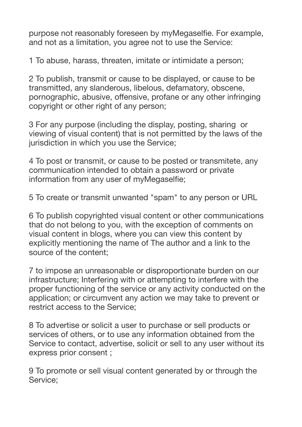purpose not reasonably foreseen by myMegaselfie. For example, and not as a limitation, you agree not to use the Service:

1 To abuse, harass, threaten, imitate or intimidate a person;

2 To publish, transmit or cause to be displayed, or cause to be transmitted, any slanderous, libelous, defamatory, obscene, pornographic, abusive, offensive, profane or any other infringing copyright or other right of any person;

3 For any purpose (including the display, posting, sharing or viewing of visual content) that is not permitted by the laws of the jurisdiction in which you use the Service;

4 To post or transmit, or cause to be posted or transmitete, any communication intended to obtain a password or private information from any user of myMegaselfie;

5 To create or transmit unwanted "spam" to any person or URL

6 To publish copyrighted visual content or other communications that do not belong to you, with the exception of comments on visual content in blogs, where you can view this content by explicitly mentioning the name of The author and a link to the source of the content;

7 to impose an unreasonable or disproportionate burden on our infrastructure; Interfering with or attempting to interfere with the proper functioning of the service or any activity conducted on the application; or circumvent any action we may take to prevent or restrict access to the Service;

8 To advertise or solicit a user to purchase or sell products or services of others, or to use any information obtained from the Service to contact, advertise, solicit or sell to any user without its express prior consent ;

9 To promote or sell visual content generated by or through the Service;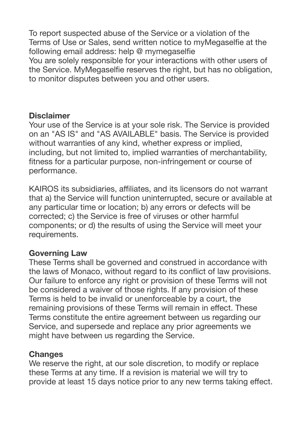To report suspected abuse of the Service or a violation of the Terms of Use or Sales, send written notice to myMegaselfie at the following email address: help @ mymegaselfie

You are solely responsible for your interactions with other users of the Service. MyMegaselfie reserves the right, but has no obligation, to monitor disputes between you and other users.

### **Disclaimer**

Your use of the Service is at your sole risk. The Service is provided on an "AS IS" and "AS AVAILABLE" basis. The Service is provided without warranties of any kind, whether express or implied, including, but not limited to, implied warranties of merchantability, fitness for a particular purpose, non-infringement or course of performance.

KAIROS its subsidiaries, affiliates, and its licensors do not warrant that a) the Service will function uninterrupted, secure or available at any particular time or location; b) any errors or defects will be corrected; c) the Service is free of viruses or other harmful components; or d) the results of using the Service will meet your requirements.

### **Governing Law**

These Terms shall be governed and construed in accordance with the laws of Monaco, without regard to its conflict of law provisions. Our failure to enforce any right or provision of these Terms will not be considered a waiver of those rights. If any provision of these Terms is held to be invalid or unenforceable by a court, the remaining provisions of these Terms will remain in effect. These Terms constitute the entire agreement between us regarding our Service, and supersede and replace any prior agreements we might have between us regarding the Service.

### **Changes**

We reserve the right, at our sole discretion, to modify or replace these Terms at any time. If a revision is material we will try to provide at least 15 days notice prior to any new terms taking effect.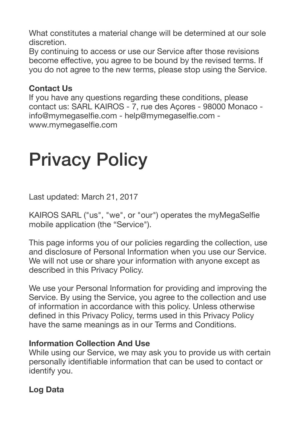What constitutes a material change will be determined at our sole discretion.

By continuing to access or use our Service after those revisions become effective, you agree to be bound by the revised terms. If you do not agree to the new terms, please stop using the Service.

### **Contact Us**

If you have any questions regarding these conditions, please contact us: SARL KAIROS - 7, rue des Açores - 98000 Monaco info@mymegaselfie.com - help@mymegaselfie.com www.mymegaselfie.com

# Privacy Policy

Last updated: March 21, 2017

KAIROS SARL ("us", "we", or "our") operates the myMegaSelfie mobile application (the "Service").

This page informs you of our policies regarding the collection, use and disclosure of Personal Information when you use our Service. We will not use or share your information with anyone except as described in this Privacy Policy.

We use your Personal Information for providing and improving the Service. By using the Service, you agree to the collection and use of information in accordance with this policy. Unless otherwise defined in this Privacy Policy, terms used in this Privacy Policy have the same meanings as in our Terms and Conditions.

### **Information Collection And Use**

While using our Service, we may ask you to provide us with certain personally identifiable information that can be used to contact or identify you.

# **Log Data**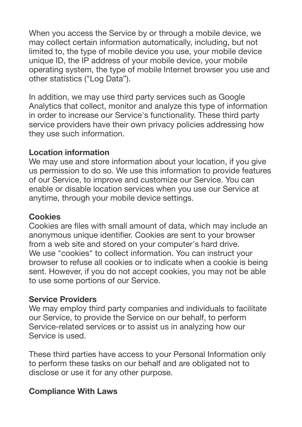When you access the Service by or through a mobile device, we may collect certain information automatically, including, but not limited to, the type of mobile device you use, your mobile device unique ID, the IP address of your mobile device, your mobile operating system, the type of mobile Internet browser you use and other statistics ("Log Data").

In addition, we may use third party services such as Google Analytics that collect, monitor and analyze this type of information in order to increase our Service's functionality. These third party service providers have their own privacy policies addressing how they use such information.

### **Location information**

We may use and store information about your location, if you give us permission to do so. We use this information to provide features of our Service, to improve and customize our Service. You can enable or disable location services when you use our Service at anytime, through your mobile device settings.

### **Cookies**

Cookies are files with small amount of data, which may include an anonymous unique identifier. Cookies are sent to your browser from a web site and stored on your computer's hard drive. We use "cookies" to collect information. You can instruct your browser to refuse all cookies or to indicate when a cookie is being sent. However, if you do not accept cookies, you may not be able to use some portions of our Service.

### **Service Providers**

We may employ third party companies and individuals to facilitate our Service, to provide the Service on our behalf, to perform Service-related services or to assist us in analyzing how our Service is used.

These third parties have access to your Personal Information only to perform these tasks on our behalf and are obligated not to disclose or use it for any other purpose.

### **Compliance With Laws**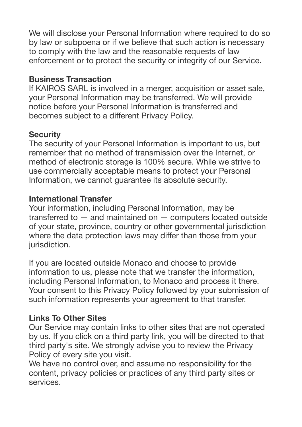We will disclose your Personal Information where required to do so by law or subpoena or if we believe that such action is necessary to comply with the law and the reasonable requests of law enforcement or to protect the security or integrity of our Service.

### **Business Transaction**

If KAIROS SARL is involved in a merger, acquisition or asset sale, your Personal Information may be transferred. We will provide notice before your Personal Information is transferred and becomes subject to a different Privacy Policy.

### **Security**

The security of your Personal Information is important to us, but remember that no method of transmission over the Internet, or method of electronic storage is 100% secure. While we strive to use commercially acceptable means to protect your Personal Information, we cannot guarantee its absolute security.

### **International Transfer**

Your information, including Personal Information, may be transferred to — and maintained on — computers located outside of your state, province, country or other governmental jurisdiction where the data protection laws may differ than those from your jurisdiction.

If you are located outside Monaco and choose to provide information to us, please note that we transfer the information, including Personal Information, to Monaco and process it there. Your consent to this Privacy Policy followed by your submission of such information represents your agreement to that transfer.

### **Links To Other Sites**

Our Service may contain links to other sites that are not operated by us. If you click on a third party link, you will be directed to that third party's site. We strongly advise you to review the Privacy Policy of every site you visit.

We have no control over, and assume no responsibility for the content, privacy policies or practices of any third party sites or services.